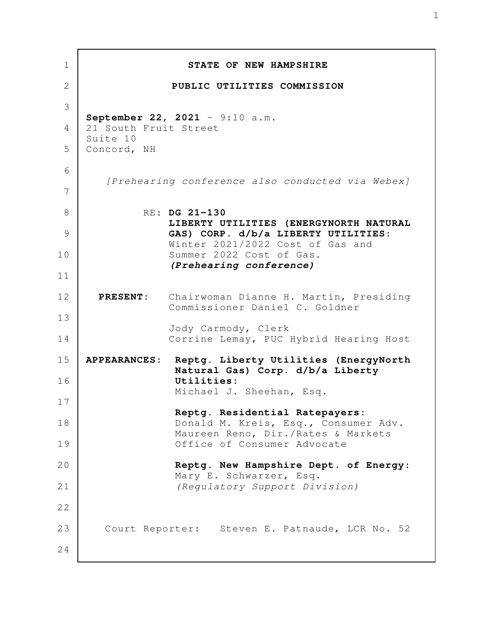| $\mathbf 1$    |                                                         | STATE OF NEW HAMPSHIRE                                                                 |
|----------------|---------------------------------------------------------|----------------------------------------------------------------------------------------|
| $\overline{2}$ |                                                         | PUBLIC UTILITIES COMMISSION                                                            |
| 3              | September 22, 2021 - 9:10 a.m.<br>21 South Fruit Street |                                                                                        |
| $\overline{4}$ |                                                         |                                                                                        |
| 5              | Suite 10<br>Concord, NH                                 |                                                                                        |
| 6              | [Prehearing conference also conducted via Webex]        |                                                                                        |
| 7              |                                                         |                                                                                        |
| 8              |                                                         | RE: DG 21-130                                                                          |
| 9              |                                                         | LIBERTY UTILITIES (ENERGYNORTH NATURAL<br>GAS) CORP. d/b/a LIBERTY UTILITIES:          |
| 10             |                                                         | Winter 2021/2022 Cost of Gas and<br>Summer 2022 Cost of Gas.                           |
| 11             |                                                         | (Prehearing conference)                                                                |
| 12             |                                                         | PRESENT: Chairwoman Dianne H. Martin, Presiding<br>Commissioner Daniel C. Goldner      |
| 13<br>14       |                                                         | Jody Carmody, Clerk<br>Corrine Lemay, PUC Hybrid Hearing Host                          |
| 15             |                                                         | APPEARANCES: Reptg. Liberty Utilities (EnergyNorth<br>Natural Gas) Corp. d/b/a Liberty |
| 16             |                                                         | Utilities:<br>Michael J. Sheehan, Esq.                                                 |
| 17             |                                                         | Reptg. Residential Ratepayers:                                                         |
| 18             |                                                         | Donald M. Kreis, Esq., Consumer Adv.<br>Maureen Reno, Dir./Rates & Markets             |
| 19             |                                                         | Office of Consumer Advocate                                                            |
| 20             |                                                         | Reptg. New Hampshire Dept. of Energy:<br>Mary E. Schwarzer, Esq.                       |
| 21             |                                                         | (Regulatory Support Division)                                                          |
| 22             |                                                         |                                                                                        |
| 23             |                                                         | Court Reporter: Steven E. Patnaude, LCR No. 52                                         |
| 24             |                                                         |                                                                                        |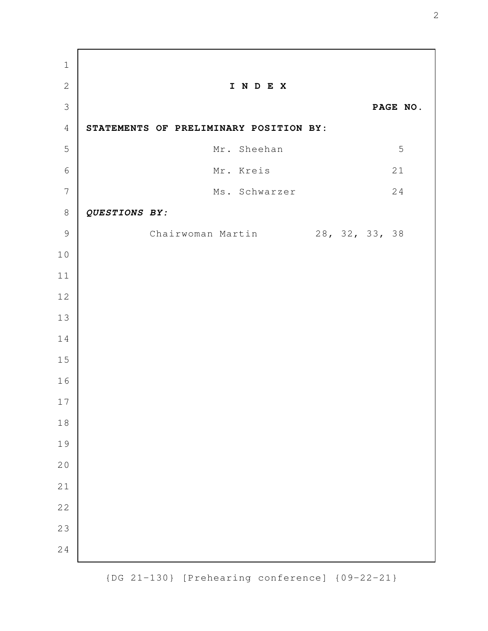**I N D E X PAGE NO. STATEMENTS OF PRELIMINARY POSITION BY:** Mr. Sheehan 5 Mr. Kreis 21 Ms. Schwarzer 24 *QUESTIONS BY:* Chairwoman Martin 28, 32, 33, 38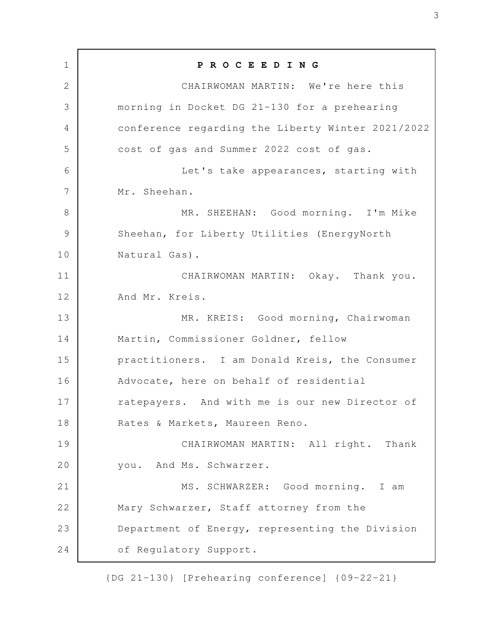**P R O C E E D I N G** CHAIRWOMAN MARTIN: We're here this morning in Docket DG 21-130 for a prehearing conference regarding the Liberty Winter 2021/2022 cost of gas and Summer 2022 cost of gas. Let's take appearances, starting with Mr. Sheehan. MR. SHEEHAN: Good morning. I'm Mike Sheehan, for Liberty Utilities (EnergyNorth Natural Gas). CHAIRWOMAN MARTIN: Okay. Thank you. And Mr. Kreis. MR. KREIS: Good morning, Chairwoman Martin, Commissioner Goldner, fellow practitioners. I am Donald Kreis, the Consumer Advocate, here on behalf of residential ratepayers. And with me is our new Director of Rates & Markets, Maureen Reno. CHAIRWOMAN MARTIN: All right. Thank you. And Ms. Schwarzer. MS. SCHWARZER: Good morning. I am Mary Schwarzer, Staff attorney from the Department of Energy, representing the Division of Regulatory Support. 1 2 3 4 5 6 7 8 9 10 11 12 13 14 15 16 17 18 19 20 21 22 23 24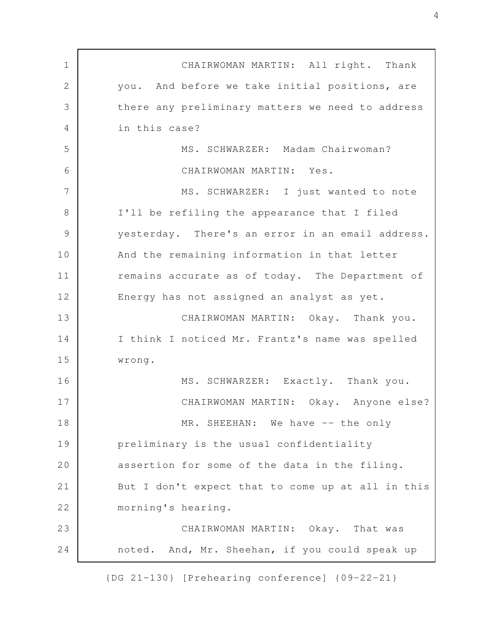CHAIRWOMAN MARTIN: All right. Thank you. And before we take initial positions, are there any preliminary matters we need to address in this case? MS. SCHWARZER: Madam Chairwoman? CHAIRWOMAN MARTIN: Yes. MS. SCHWARZER: I just wanted to note I'll be refiling the appearance that I filed yesterday. There's an error in an email address. And the remaining information in that letter remains accurate as of today. The Department of Energy has not assigned an analyst as yet. CHAIRWOMAN MARTIN: Okay. Thank you. I think I noticed Mr. Frantz's name was spelled wrong. MS. SCHWARZER: Exactly. Thank you. CHAIRWOMAN MARTIN: Okay. Anyone else? MR. SHEEHAN: We have -- the only preliminary is the usual confidentiality assertion for some of the data in the filing. But I don't expect that to come up at all in this morning's hearing. CHAIRWOMAN MARTIN: Okay. That was noted. And, Mr. Sheehan, if you could speak up 1 2 3 4 5 6 7 8 9 10 11 12 13 14 15 16 17 18 19 20 21 22 23 24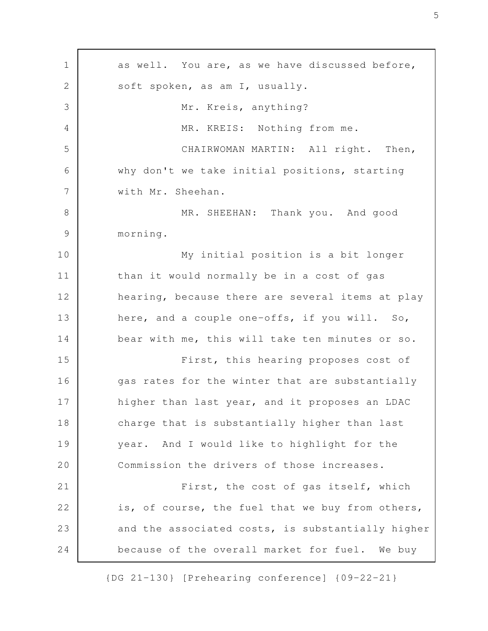as well. You are, as we have discussed before, soft spoken, as am I, usually. Mr. Kreis, anything? MR. KREIS: Nothing from me. CHAIRWOMAN MARTIN: All right. Then, why don't we take initial positions, starting with Mr. Sheehan. MR. SHEEHAN: Thank you. And good morning. My initial position is a bit longer than it would normally be in a cost of gas hearing, because there are several items at play here, and a couple one-offs, if you will. So, bear with me, this will take ten minutes or so. First, this hearing proposes cost of gas rates for the winter that are substantially higher than last year, and it proposes an LDAC charge that is substantially higher than last year. And I would like to highlight for the Commission the drivers of those increases. First, the cost of gas itself, which is, of course, the fuel that we buy from others, and the associated costs, is substantially higher because of the overall market for fuel. We buy 1 2 3 4 5 6 7 8 9 10 11 12 13 14 15 16 17 18 19 20 21 22 23 24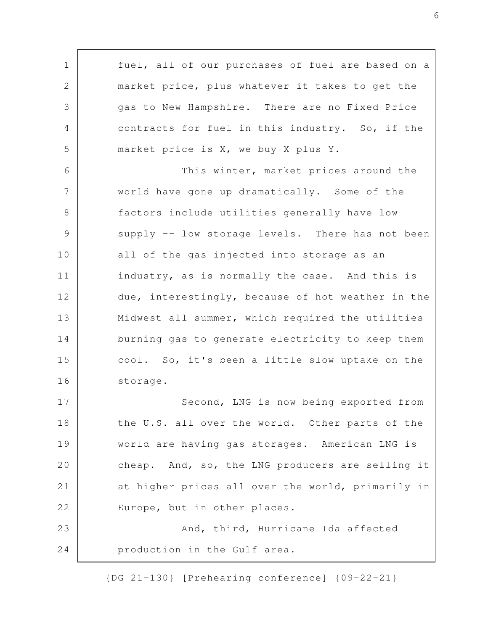fuel, all of our purchases of fuel are based on a market price, plus whatever it takes to get the gas to New Hampshire. There are no Fixed Price contracts for fuel in this industry. So, if the market price is X, we buy X plus Y. This winter, market prices around the world have gone up dramatically. Some of the factors include utilities generally have low supply -- low storage levels. There has not been all of the gas injected into storage as an industry, as is normally the case. And this is due, interestingly, because of hot weather in the Midwest all summer, which required the utilities burning gas to generate electricity to keep them cool. So, it's been a little slow uptake on the storage. Second, LNG is now being exported from the U.S. all over the world. Other parts of the world are having gas storages. American LNG is cheap. And, so, the LNG producers are selling it at higher prices all over the world, primarily in Europe, but in other places. And, third, Hurricane Ida affected production in the Gulf area. 1 2 3 4 5 6 7 8 9 10 11 12 13 14 15 16 17 18 19 20 21 22 23 24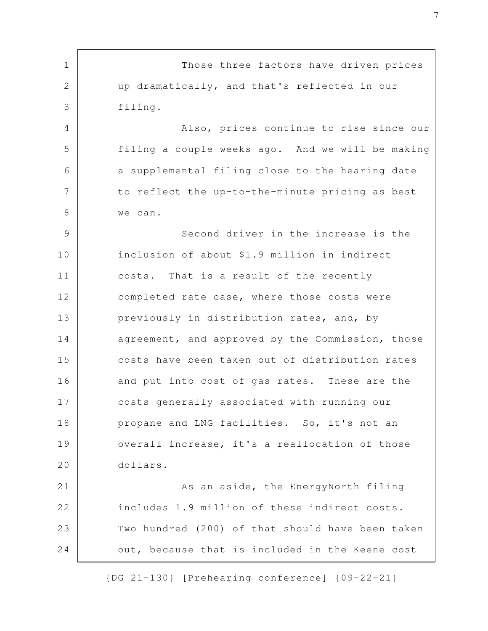Those three factors have driven prices up dramatically, and that's reflected in our filing. Also, prices continue to rise since our filing a couple weeks ago. And we will be making a supplemental filing close to the hearing date to reflect the up-to-the-minute pricing as best we can. Second driver in the increase is the inclusion of about \$1.9 million in indirect costs. That is a result of the recently completed rate case, where those costs were previously in distribution rates, and, by agreement, and approved by the Commission, those costs have been taken out of distribution rates and put into cost of gas rates. These are the costs generally associated with running our propane and LNG facilities. So, it's not an overall increase, it's a reallocation of those dollars. As an aside, the EnergyNorth filing includes 1.9 million of these indirect costs. Two hundred (200) of that should have been taken out, because that is included in the Keene cost 1 2 3 4 5 6 7 8 9 10 11 12 13 14 15 16 17 18 19 20 21 22 23 24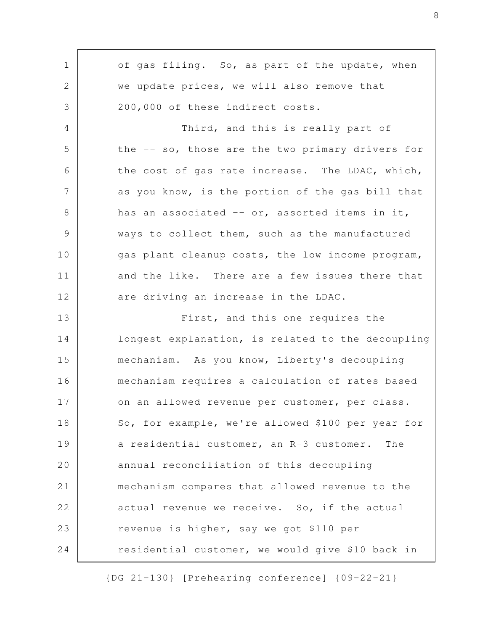of gas filing. So, as part of the update, when we update prices, we will also remove that 200,000 of these indirect costs. Third, and this is really part of the -- so, those are the two primary drivers for the cost of gas rate increase. The LDAC, which, as you know, is the portion of the gas bill that has an associated -- or, assorted items in it, ways to collect them, such as the manufactured gas plant cleanup costs, the low income program, and the like. There are a few issues there that are driving an increase in the LDAC. First, and this one requires the longest explanation, is related to the decoupling mechanism. As you know, Liberty's decoupling mechanism requires a calculation of rates based on an allowed revenue per customer, per class. So, for example, we're allowed \$100 per year for a residential customer, an R-3 customer. The annual reconciliation of this decoupling mechanism compares that allowed revenue to the actual revenue we receive. So, if the actual revenue is higher, say we got \$110 per residential customer, we would give \$10 back in 1 2 3 4 5 6 7 8 9 10 11 12 13 14 15 16 17 18 19 20 21 22 23 24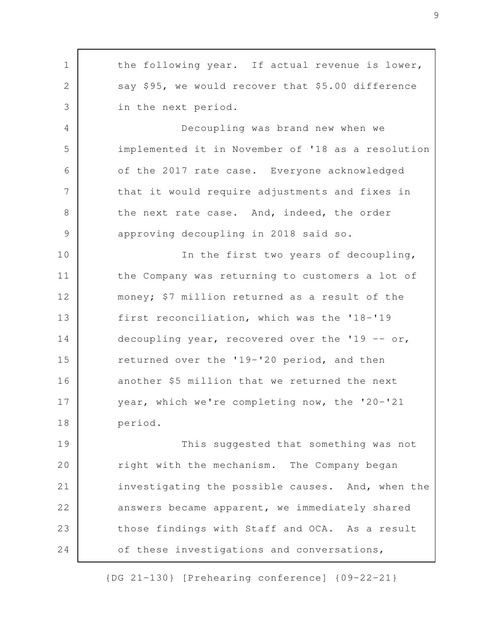the following year. If actual revenue is lower, say \$95, we would recover that \$5.00 difference in the next period. Decoupling was brand new when we implemented it in November of '18 as a resolution of the 2017 rate case. Everyone acknowledged that it would require adjustments and fixes in the next rate case. And, indeed, the order approving decoupling in 2018 said so. In the first two years of decoupling, the Company was returning to customers a lot of money; \$7 million returned as a result of the first reconciliation, which was the '18-'19 decoupling year, recovered over the '19  $-$  or, returned over the '19-'20 period, and then another \$5 million that we returned the next year, which we're completing now, the '20-'21 period. This suggested that something was not right with the mechanism. The Company began investigating the possible causes. And, when the answers became apparent, we immediately shared those findings with Staff and OCA. As a result of these investigations and conversations, 1 2 3 4 5 6 7 8 9 10 11 12 13 14 15 16 17 18 19 20 21 22 23 24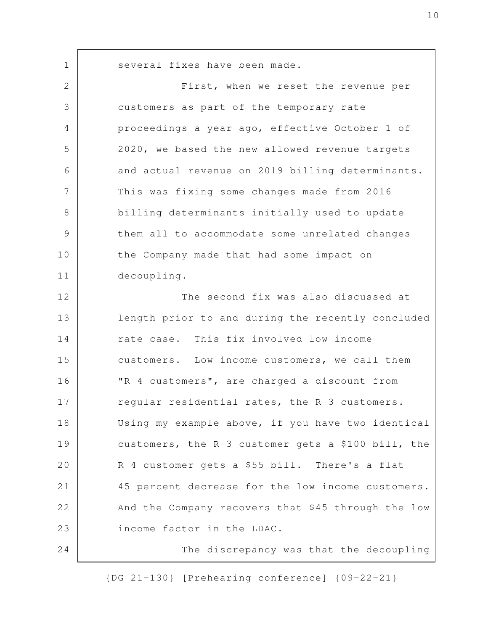several fixes have been made.

1

First, when we reset the revenue per customers as part of the temporary rate proceedings a year ago, effective October 1 of 2020, we based the new allowed revenue targets and actual revenue on 2019 billing determinants. This was fixing some changes made from 2016 billing determinants initially used to update them all to accommodate some unrelated changes the Company made that had some impact on decoupling. The second fix was also discussed at length prior to and during the recently concluded rate case. This fix involved low income customers. Low income customers, we call them "R-4 customers", are charged a discount from regular residential rates, the R-3 customers. Using my example above, if you have two identical customers, the R-3 customer gets a \$100 bill, the R-4 customer gets a \$55 bill. There's a flat 45 percent decrease for the low income customers. And the Company recovers that \$45 through the low income factor in the LDAC. The discrepancy was that the decoupling 2 3 4 5 6 7 8 9 10 11 12 13 14 15 16 17 18 19 20 21 22 23 24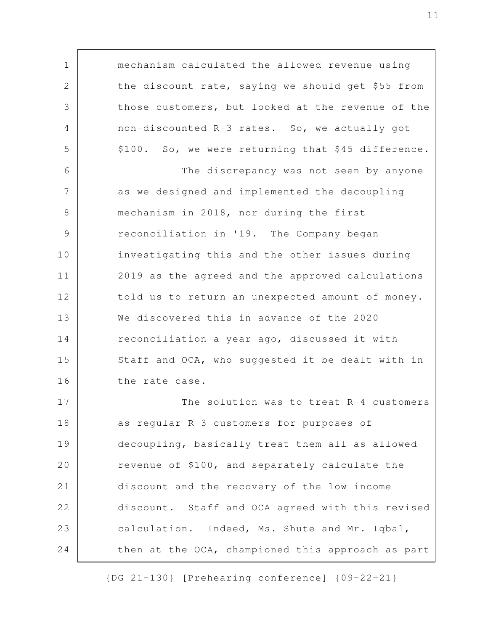mechanism calculated the allowed revenue using the discount rate, saying we should get \$55 from those customers, but looked at the revenue of the non-discounted R-3 rates. So, we actually got \$100. So, we were returning that \$45 difference. The discrepancy was not seen by anyone as we designed and implemented the decoupling mechanism in 2018, nor during the first reconciliation in '19. The Company began investigating this and the other issues during 2019 as the agreed and the approved calculations told us to return an unexpected amount of money. We discovered this in advance of the 2020 reconciliation a year ago, discussed it with Staff and OCA, who suggested it be dealt with in the rate case. The solution was to treat R-4 customers as regular R-3 customers for purposes of decoupling, basically treat them all as allowed revenue of \$100, and separately calculate the discount and the recovery of the low income discount. Staff and OCA agreed with this revised calculation. Indeed, Ms. Shute and Mr. Iqbal, then at the OCA, championed this approach as part 1 2 3 4 5 6 7 8 9 10 11 12 13 14 15 16 17 18 19 20 21 22 23 24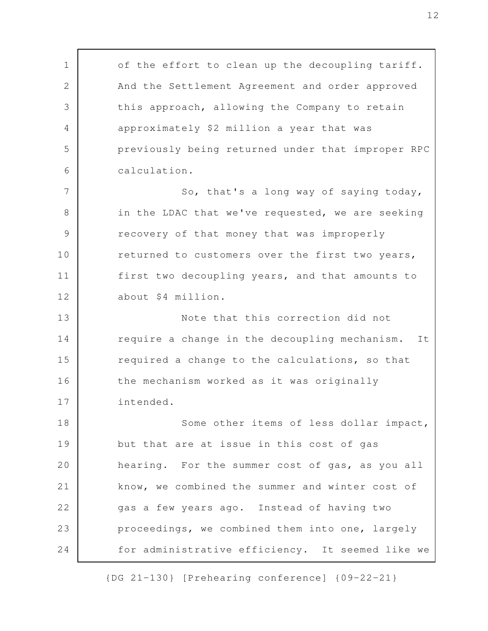of the effort to clean up the decoupling tariff. And the Settlement Agreement and order approved this approach, allowing the Company to retain approximately \$2 million a year that was previously being returned under that improper RPC calculation. So, that's a long way of saying today, in the LDAC that we've requested, we are seeking recovery of that money that was improperly returned to customers over the first two years, first two decoupling years, and that amounts to about \$4 million. Note that this correction did not require a change in the decoupling mechanism. It required a change to the calculations, so that the mechanism worked as it was originally intended. Some other items of less dollar impact, but that are at issue in this cost of gas hearing. For the summer cost of gas, as you all know, we combined the summer and winter cost of gas a few years ago. Instead of having two proceedings, we combined them into one, largely for administrative efficiency. It seemed like we 1 2 3 4 5 6 7 8 9 10 11 12 13 14 15 16 17 18 19 20 21 22 23 24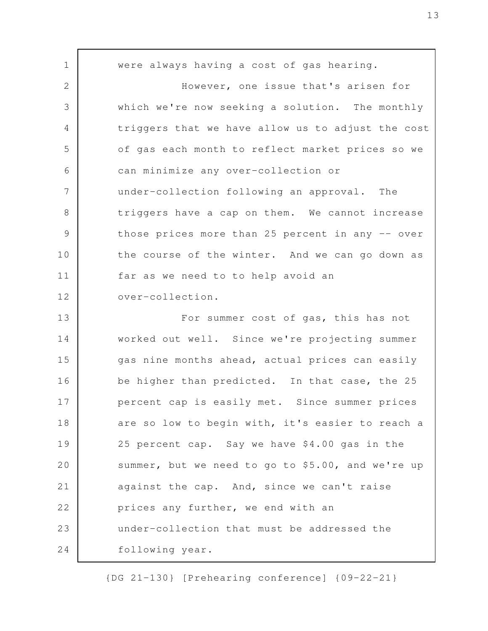were always having a cost of gas hearing. However, one issue that's arisen for which we're now seeking a solution. The monthly triggers that we have allow us to adjust the cost of gas each month to reflect market prices so we can minimize any over-collection or under-collection following an approval. The triggers have a cap on them. We cannot increase those prices more than 25 percent in any -- over the course of the winter. And we can go down as far as we need to to help avoid an over-collection. For summer cost of gas, this has not worked out well. Since we're projecting summer gas nine months ahead, actual prices can easily be higher than predicted. In that case, the 25 percent cap is easily met. Since summer prices are so low to begin with, it's easier to reach a 25 percent cap. Say we have \$4.00 gas in the summer, but we need to go to \$5.00, and we're up against the cap. And, since we can't raise prices any further, we end with an under-collection that must be addressed the following year. 1 2 3 4 5 6 7 8 9 10 11 12 13 14 15 16 17 18 19 20 21 22 23 24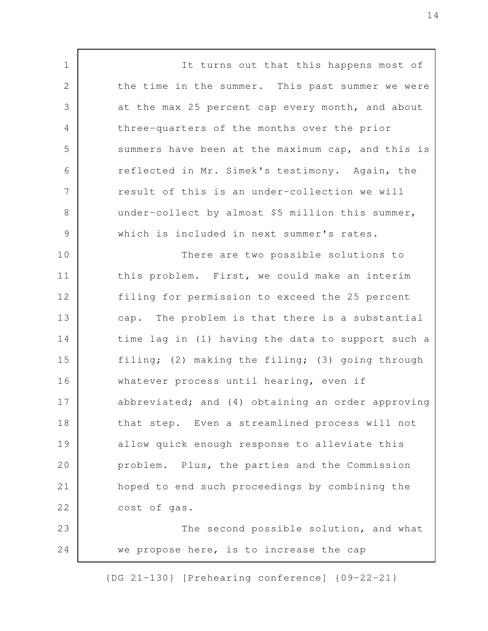It turns out that this happens most of the time in the summer. This past summer we were at the max 25 percent cap every month, and about three-quarters of the months over the prior summers have been at the maximum cap, and this is reflected in Mr. Simek's testimony. Again, the result of this is an under-collection we will under-collect by almost \$5 million this summer, which is included in next summer's rates. There are two possible solutions to this problem. First, we could make an interim filing for permission to exceed the 25 percent cap. The problem is that there is a substantial time lag in (1) having the data to support such a filing; (2) making the filing; (3) going through whatever process until hearing, even if abbreviated; and (4) obtaining an order approving that step. Even a streamlined process will not allow quick enough response to alleviate this problem. Plus, the parties and the Commission hoped to end such proceedings by combining the cost of gas. The second possible solution, and what we propose here, is to increase the cap 1 2 3 4 5 6 7 8 9 10 11 12 13 14 15 16 17 18 19 20 21 22 23 24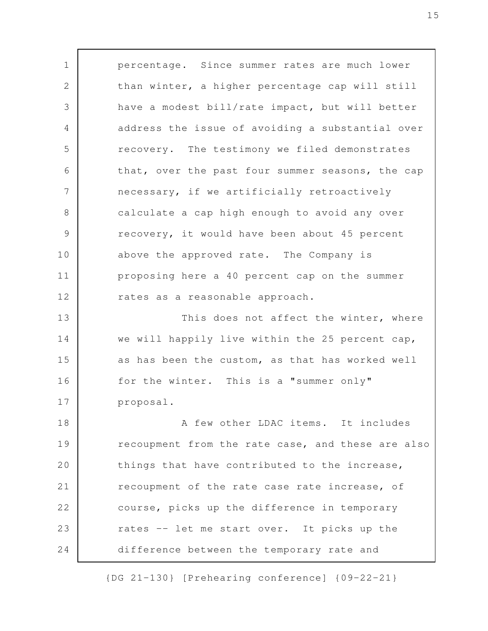percentage. Since summer rates are much lower than winter, a higher percentage cap will still have a modest bill/rate impact, but will better address the issue of avoiding a substantial over recovery. The testimony we filed demonstrates that, over the past four summer seasons, the cap necessary, if we artificially retroactively calculate a cap high enough to avoid any over recovery, it would have been about 45 percent above the approved rate. The Company is proposing here a 40 percent cap on the summer rates as a reasonable approach. This does not affect the winter, where we will happily live within the 25 percent cap, as has been the custom, as that has worked well for the winter. This is a "summer only" proposal. A few other LDAC items. It includes recoupment from the rate case, and these are also things that have contributed to the increase, recoupment of the rate case rate increase, of course, picks up the difference in temporary rates -- let me start over. It picks up the difference between the temporary rate and 1 2 3 4 5 6 7 8 9 10 11 12 13 14 15 16 17 18 19 20 21 22 23 24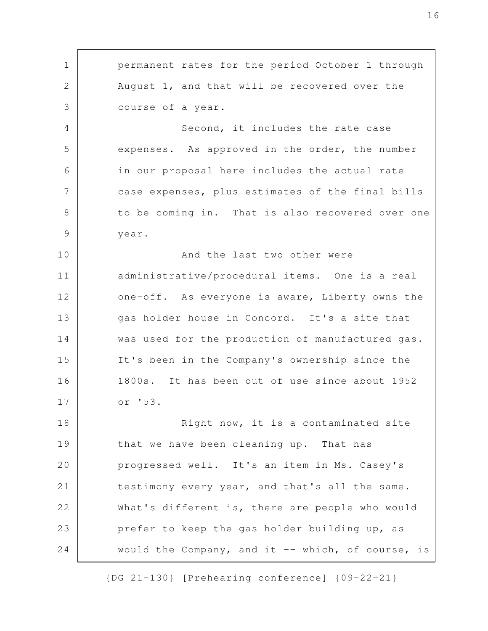permanent rates for the period October 1 through August 1, and that will be recovered over the course of a year. Second, it includes the rate case expenses. As approved in the order, the number 1 2 3 4 5

in our proposal here includes the actual rate case expenses, plus estimates of the final bills to be coming in. That is also recovered over one year. 6 7 8 9

And the last two other were administrative/procedural items. One is a real one-off. As everyone is aware, Liberty owns the gas holder house in Concord. It's a site that was used for the production of manufactured gas. It's been in the Company's ownership since the 1800s. It has been out of use since about 1952 or '53. 10 11 12 13 14 15 16 17

Right now, it is a contaminated site that we have been cleaning up. That has progressed well. It's an item in Ms. Casey's testimony every year, and that's all the same. What's different is, there are people who would prefer to keep the gas holder building up, as would the Company, and it -- which, of course, is 18 19 20 21 22 23 24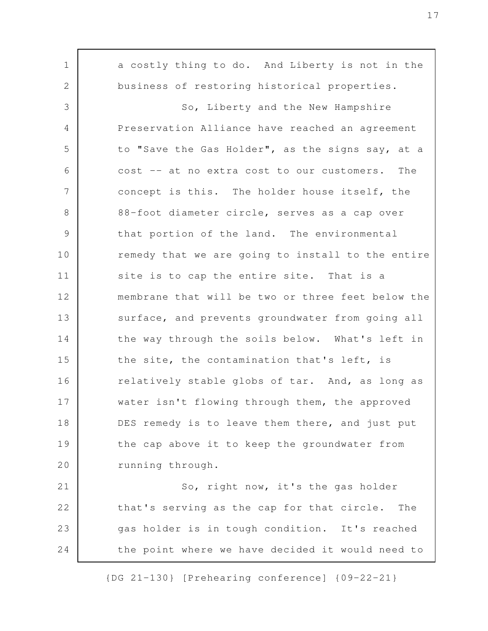a costly thing to do. And Liberty is not in the business of restoring historical properties. So, Liberty and the New Hampshire Preservation Alliance have reached an agreement to "Save the Gas Holder", as the signs say, at a cost -- at no extra cost to our customers. The concept is this. The holder house itself, the 88-foot diameter circle, serves as a cap over that portion of the land. The environmental remedy that we are going to install to the entire site is to cap the entire site. That is a membrane that will be two or three feet below the surface, and prevents groundwater from going all the way through the soils below. What's left in the site, the contamination that's left, is relatively stable globs of tar. And, as long as water isn't flowing through them, the approved DES remedy is to leave them there, and just put the cap above it to keep the groundwater from running through. So, right now, it's the gas holder that's serving as the cap for that circle. The gas holder is in tough condition. It's reached the point where we have decided it would need to 1 2 3 4 5 6 7 8 9 10 11 12 13 14 15 16 17 18 19 20 21 22 23 24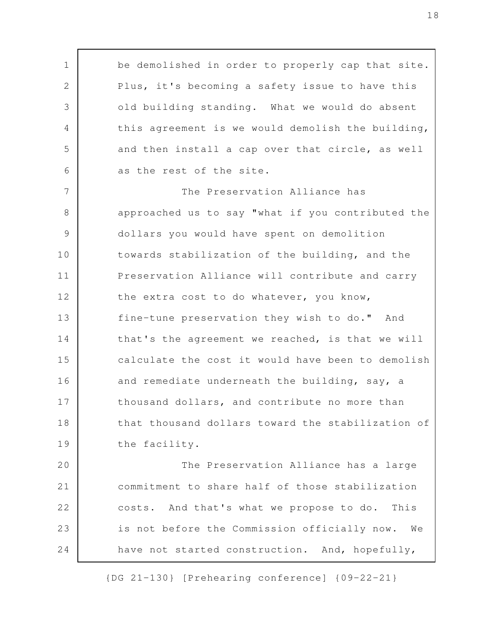be demolished in order to properly cap that site. Plus, it's becoming a safety issue to have this old building standing. What we would do absent this agreement is we would demolish the building, and then install a cap over that circle, as well as the rest of the site. The Preservation Alliance has approached us to say "what if you contributed the dollars you would have spent on demolition towards stabilization of the building, and the Preservation Alliance will contribute and carry the extra cost to do whatever, you know, fine-tune preservation they wish to do." And that's the agreement we reached, is that we will calculate the cost it would have been to demolish and remediate underneath the building, say, a thousand dollars, and contribute no more than that thousand dollars toward the stabilization of the facility. The Preservation Alliance has a large commitment to share half of those stabilization costs. And that's what we propose to do. This 1 2 3 4 5 6 7 8 9 10 11 12 13 14 15 16 17 18 19 20 21 22

have not started construction. And, hopefully,

23

24

is not before the Commission officially now. We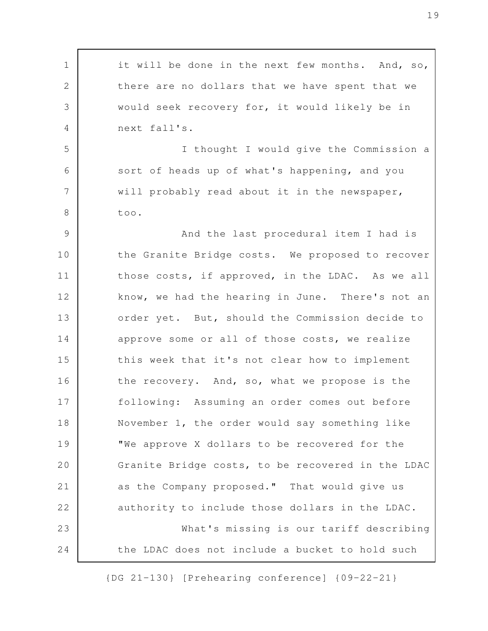it will be done in the next few months. And, so, there are no dollars that we have spent that we would seek recovery for, it would likely be in next fall's. I thought I would give the Commission a sort of heads up of what's happening, and you will probably read about it in the newspaper, too. And the last procedural item I had is the Granite Bridge costs. We proposed to recover those costs, if approved, in the LDAC. As we all know, we had the hearing in June. There's not an order yet. But, should the Commission decide to approve some or all of those costs, we realize this week that it's not clear how to implement the recovery. And, so, what we propose is the following: Assuming an order comes out before November 1, the order would say something like "We approve X dollars to be recovered for the Granite Bridge costs, to be recovered in the LDAC as the Company proposed." That would give us authority to include those dollars in the LDAC. What's missing is our tariff describing the LDAC does not include a bucket to hold such 1 2 3 4 5 6 7 8 9 10 11 12 13 14 15 16 17 18 19 20 21 22 23 24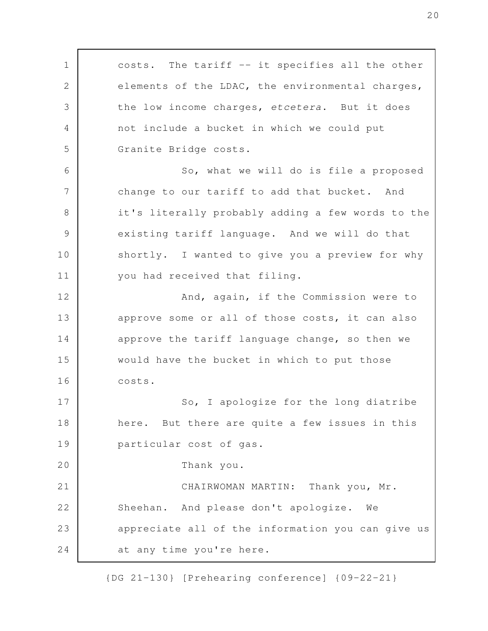costs. The tariff -- it specifies all the other elements of the LDAC, the environmental charges, the low income charges, etcetera. But it does not include a bucket in which we could put Granite Bridge costs. So, what we will do is file a proposed change to our tariff to add that bucket. And it's literally probably adding a few words to the existing tariff language. And we will do that shortly. I wanted to give you a preview for why you had received that filing. And, again, if the Commission were to approve some or all of those costs, it can also approve the tariff language change, so then we would have the bucket in which to put those costs. So, I apologize for the long diatribe here. But there are quite a few issues in this particular cost of gas. Thank you. CHAIRWOMAN MARTIN: Thank you, Mr. Sheehan. And please don't apologize. We appreciate all of the information you can give us at any time you're here. 1 2 3 4 5 6 7 8 9 10 11 12 13 14 15 16 17 18 19 20 21 22 23 24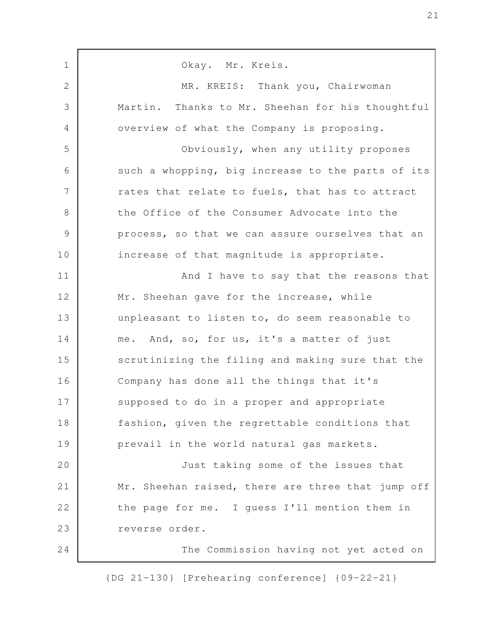Okay. Mr. Kreis. MR. KREIS: Thank you, Chairwoman Martin. Thanks to Mr. Sheehan for his thoughtful overview of what the Company is proposing. Obviously, when any utility proposes such a whopping, big increase to the parts of its rates that relate to fuels, that has to attract the Office of the Consumer Advocate into the process, so that we can assure ourselves that an increase of that magnitude is appropriate. And I have to say that the reasons that Mr. Sheehan gave for the increase, while unpleasant to listen to, do seem reasonable to me. And, so, for us, it's a matter of just scrutinizing the filing and making sure that the Company has done all the things that it's supposed to do in a proper and appropriate fashion, given the regrettable conditions that prevail in the world natural gas markets. Just taking some of the issues that Mr. Sheehan raised, there are three that jump off the page for me. I guess I'll mention them in reverse order. The Commission having not yet acted on 1 2 3 4 5 6 7 8 9 10 11 12 13 14 15 16 17 18 19 20 21 22 23 24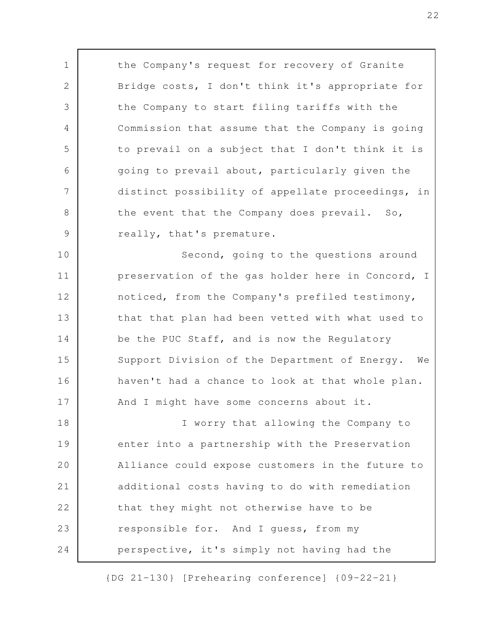the Company's request for recovery of Granite Bridge costs, I don't think it's appropriate for the Company to start filing tariffs with the Commission that assume that the Company is going to prevail on a subject that I don't think it is going to prevail about, particularly given the distinct possibility of appellate proceedings, in the event that the Company does prevail. So, really, that's premature.

1

2

3

4

5

6

7

8

9

Second, going to the questions around preservation of the gas holder here in Concord, I noticed, from the Company's prefiled testimony, that that plan had been vetted with what used to be the PUC Staff, and is now the Regulatory Support Division of the Department of Energy. We haven't had a chance to look at that whole plan. And I might have some concerns about it. 10 11 12 13 14 15 16 17

I worry that allowing the Company to enter into a partnership with the Preservation Alliance could expose customers in the future to additional costs having to do with remediation that they might not otherwise have to be responsible for. And I guess, from my perspective, it's simply not having had the 18 19 20 21 22 23 24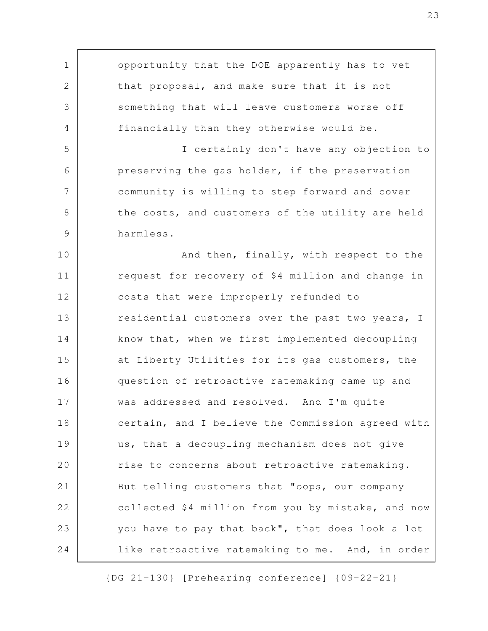opportunity that the DOE apparently has to vet that proposal, and make sure that it is not something that will leave customers worse off financially than they otherwise would be. I certainly don't have any objection to preserving the gas holder, if the preservation community is willing to step forward and cover the costs, and customers of the utility are held harmless. And then, finally, with respect to the request for recovery of \$4 million and change in costs that were improperly refunded to residential customers over the past two years, I know that, when we first implemented decoupling at Liberty Utilities for its gas customers, the question of retroactive ratemaking came up and was addressed and resolved. And I'm quite certain, and I believe the Commission agreed with us, that a decoupling mechanism does not give rise to concerns about retroactive ratemaking. But telling customers that "oops, our company collected \$4 million from you by mistake, and now you have to pay that back", that does look a lot like retroactive ratemaking to me. And, in order 1 2 3 4 5 6 7 8 9 10 11 12 13 14 15 16 17 18 19 20 21 22 23 24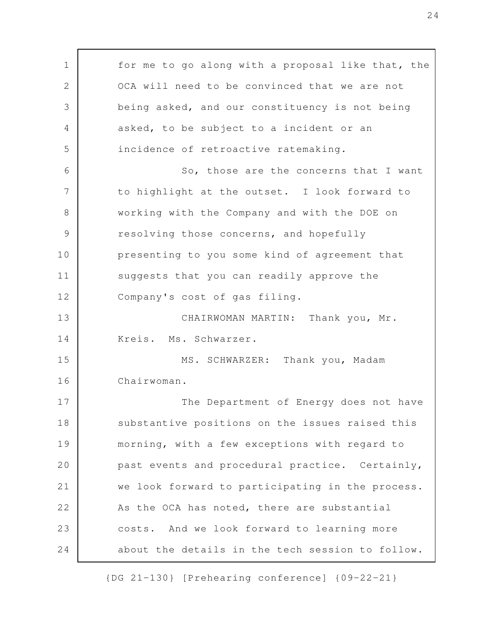for me to go along with a proposal like that, the OCA will need to be convinced that we are not being asked, and our constituency is not being asked, to be subject to a incident or an incidence of retroactive ratemaking. So, those are the concerns that I want to highlight at the outset. I look forward to working with the Company and with the DOE on resolving those concerns, and hopefully presenting to you some kind of agreement that suggests that you can readily approve the Company's cost of gas filing. CHAIRWOMAN MARTIN: Thank you, Mr. Kreis. Ms. Schwarzer. MS. SCHWARZER: Thank you, Madam Chairwoman. The Department of Energy does not have substantive positions on the issues raised this morning, with a few exceptions with regard to past events and procedural practice. Certainly, we look forward to participating in the process. As the OCA has noted, there are substantial costs. And we look forward to learning more about the details in the tech session to follow. 1 2 3 4 5 6 7 8 9 10 11 12 13 14 15 16 17 18 19 20 21 22 23 24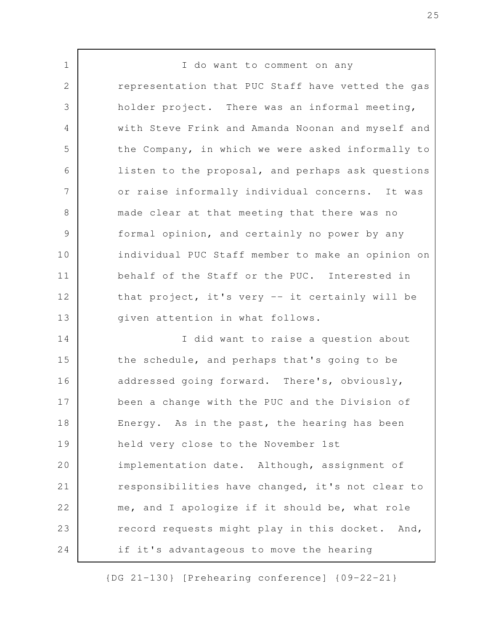I do want to comment on any representation that PUC Staff have vetted the gas holder project. There was an informal meeting, with Steve Frink and Amanda Noonan and myself and the Company, in which we were asked informally to listen to the proposal, and perhaps ask questions or raise informally individual concerns. It was made clear at that meeting that there was no formal opinion, and certainly no power by any individual PUC Staff member to make an opinion on behalf of the Staff or the PUC. Interested in that project, it's very -- it certainly will be given attention in what follows. I did want to raise a question about the schedule, and perhaps that's going to be addressed going forward. There's, obviously, been a change with the PUC and the Division of Energy. As in the past, the hearing has been held very close to the November 1st implementation date. Although, assignment of responsibilities have changed, it's not clear to me, and I apologize if it should be, what role record requests might play in this docket. And, if it's advantageous to move the hearing 1 2 3 4 5 6 7 8 9 10 11 12 13 14 15 16 17 18 19 20 21 22 23 24

{DG 21-130} [Prehearing conference] {09-22-21}

25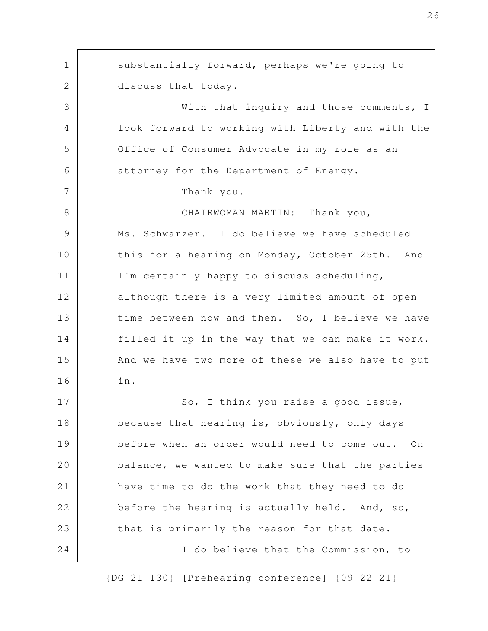substantially forward, perhaps we're going to discuss that today. With that inquiry and those comments, I look forward to working with Liberty and with the Office of Consumer Advocate in my role as an attorney for the Department of Energy. Thank you. CHAIRWOMAN MARTIN: Thank you, Ms. Schwarzer. I do believe we have scheduled this for a hearing on Monday, October 25th. And I'm certainly happy to discuss scheduling, although there is a very limited amount of open time between now and then. So, I believe we have filled it up in the way that we can make it work. And we have two more of these we also have to put in. So, I think you raise a good issue, because that hearing is, obviously, only days before when an order would need to come out. On balance, we wanted to make sure that the parties have time to do the work that they need to do before the hearing is actually held. And, so, that is primarily the reason for that date. I do believe that the Commission, to 1 2 3 4 5 6 7 8 9 10 11 12 13 14 15 16 17 18 19 20 21 22 23 24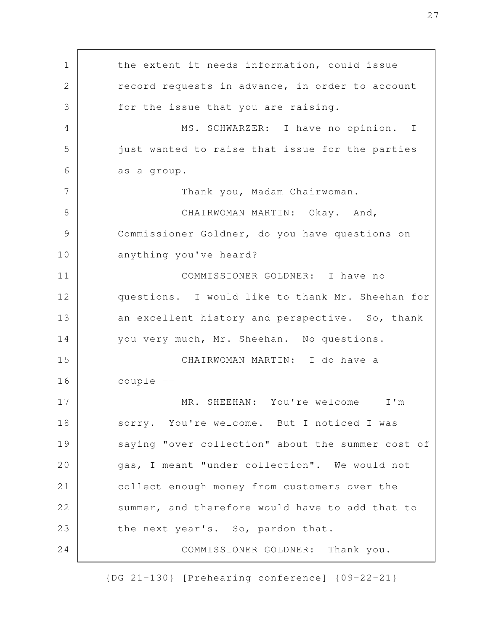the extent it needs information, could issue record requests in advance, in order to account for the issue that you are raising. MS. SCHWARZER: I have no opinion. I just wanted to raise that issue for the parties as a group. Thank you, Madam Chairwoman. CHAIRWOMAN MARTIN: Okay. And, Commissioner Goldner, do you have questions on anything you've heard? COMMISSIONER GOLDNER: I have no questions. I would like to thank Mr. Sheehan for an excellent history and perspective. So, thank you very much, Mr. Sheehan. No questions. CHAIRWOMAN MARTIN: I do have a couple -- MR. SHEEHAN: You're welcome -- I'm sorry. You're welcome. But I noticed I was saying "over-collection" about the summer cost of gas, I meant "under-collection". We would not collect enough money from customers over the summer, and therefore would have to add that to the next year's. So, pardon that. COMMISSIONER GOLDNER: Thank you. 1 2 3 4 5 6 7 8 9 10 11 12 13 14 15 16 17 18 19 20 21 22 23 24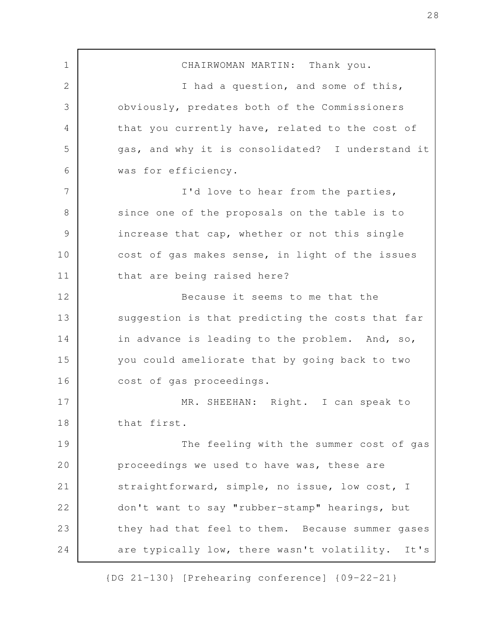CHAIRWOMAN MARTIN: Thank you. I had a question, and some of this, obviously, predates both of the Commissioners that you currently have, related to the cost of gas, and why it is consolidated? I understand it was for efficiency. I'd love to hear from the parties, since one of the proposals on the table is to increase that cap, whether or not this single cost of gas makes sense, in light of the issues that are being raised here? Because it seems to me that the suggestion is that predicting the costs that far in advance is leading to the problem. And, so, you could ameliorate that by going back to two cost of gas proceedings. MR. SHEEHAN: Right. I can speak to that first. The feeling with the summer cost of gas proceedings we used to have was, these are straightforward, simple, no issue, low cost, I don't want to say "rubber-stamp" hearings, but they had that feel to them. Because summer gases are typically low, there wasn't volatility. It's 1 2 3 4 5 6 7 8 9 10 11 12 13 14 15 16 17 18 19 20 21 22 23 24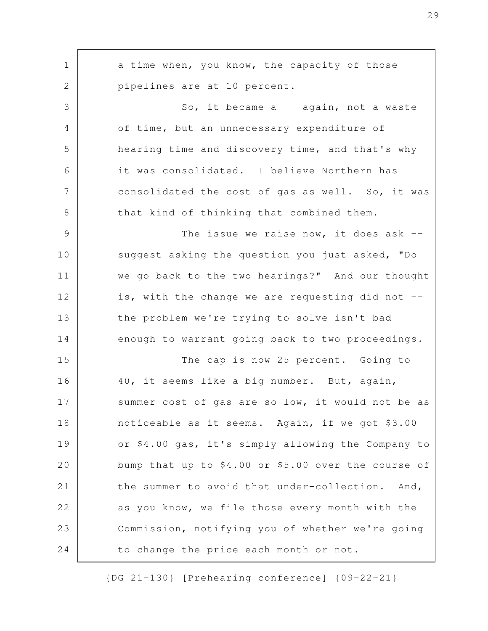| $\mathbf 1$  | a time when, you know, the capacity of those        |
|--------------|-----------------------------------------------------|
| $\mathbf{2}$ | pipelines are at 10 percent.                        |
| 3            | So, it became a -- again, not a waste               |
| 4            | of time, but an unnecessary expenditure of          |
| 5            | hearing time and discovery time, and that's why     |
| 6            | it was consolidated. I believe Northern has         |
| 7            | consolidated the cost of gas as well. So, it was    |
| 8            | that kind of thinking that combined them.           |
| 9            | The issue we raise now, it does ask $-$ -           |
| 10           | suggest asking the question you just asked, "Do     |
| 11           | we go back to the two hearings?" And our thought    |
| 12           | is, with the change we are requesting did not --    |
| 13           | the problem we're trying to solve isn't bad         |
| 14           | enough to warrant going back to two proceedings.    |
| 15           | The cap is now 25 percent. Going to                 |
| 16           | 40, it seems like a big number. But, again,         |
| 17           | summer cost of gas are so low, it would not be as   |
| 18           | noticeable as it seems. Again, if we got \$3.00     |
| 19           | or \$4.00 gas, it's simply allowing the Company to  |
| 20           | bump that up to \$4.00 or \$5.00 over the course of |
| 21           | the summer to avoid that under-collection. And,     |
| 22           | as you know, we file those every month with the     |
| 23           | Commission, notifying you of whether we're going    |
| 24           | to change the price each month or not.              |

{DG 21-130} [Prehearing conference] {09-22-21}

29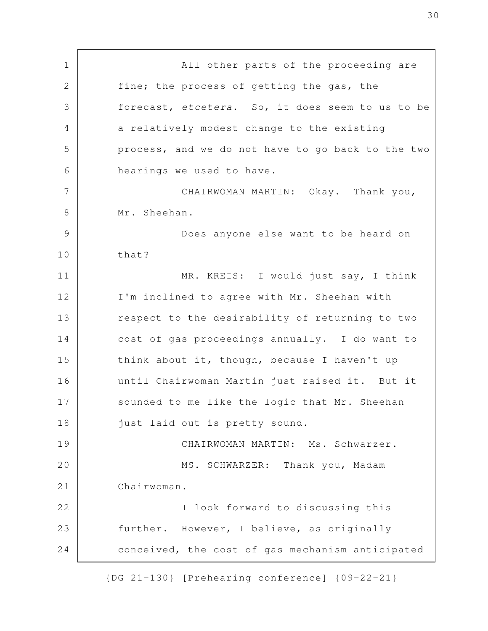All other parts of the proceeding are fine; the process of getting the gas, the forecast, etcetera. So, it does seem to us to be a relatively modest change to the existing process, and we do not have to go back to the two hearings we used to have. CHAIRWOMAN MARTIN: Okay. Thank you, Mr. Sheehan. Does anyone else want to be heard on that? MR. KREIS: I would just say, I think I'm inclined to agree with Mr. Sheehan with respect to the desirability of returning to two cost of gas proceedings annually. I do want to think about it, though, because I haven't up until Chairwoman Martin just raised it. But it sounded to me like the logic that Mr. Sheehan just laid out is pretty sound. CHAIRWOMAN MARTIN: Ms. Schwarzer. MS. SCHWARZER: Thank you, Madam Chairwoman. I look forward to discussing this further. However, I believe, as originally conceived, the cost of gas mechanism anticipated 1 2 3 4 5 6 7 8 9 10 11 12 13 14 15 16 17 18 19 20 21 22 23 24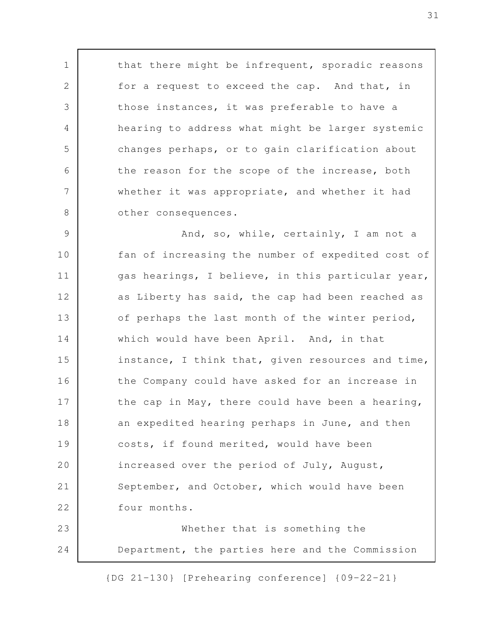that there might be infrequent, sporadic reasons for a request to exceed the cap. And that, in those instances, it was preferable to have a hearing to address what might be larger systemic changes perhaps, or to gain clarification about the reason for the scope of the increase, both whether it was appropriate, and whether it had other consequences.

1

2

3

4

5

6

7

8

And, so, while, certainly, I am not a fan of increasing the number of expedited cost of gas hearings, I believe, in this particular year, as Liberty has said, the cap had been reached as of perhaps the last month of the winter period, which would have been April. And, in that instance, I think that, given resources and time, the Company could have asked for an increase in the cap in May, there could have been a hearing, an expedited hearing perhaps in June, and then costs, if found merited, would have been increased over the period of July, August, September, and October, which would have been four months. Whether that is something the 9 10 11 12 13 14 15 16 17 18 19 20 21 22 23

Department, the parties here and the Commission 24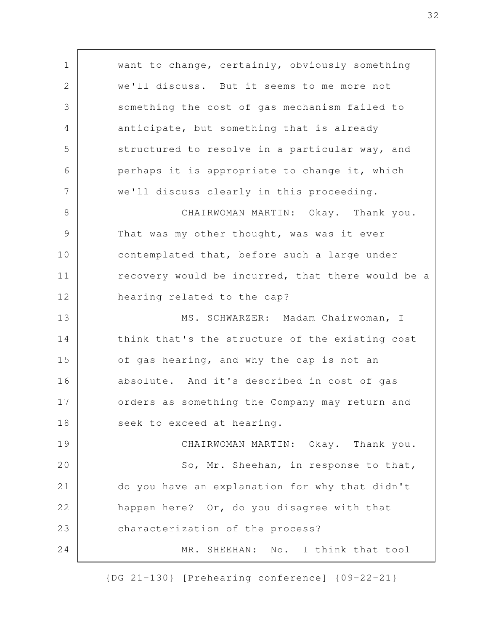want to change, certainly, obviously something we'll discuss. But it seems to me more not something the cost of gas mechanism failed to anticipate, but something that is already structured to resolve in a particular way, and perhaps it is appropriate to change it, which we'll discuss clearly in this proceeding. CHAIRWOMAN MARTIN: Okay. Thank you. That was my other thought, was was it ever contemplated that, before such a large under recovery would be incurred, that there would be a hearing related to the cap? MS. SCHWARZER: Madam Chairwoman, I think that's the structure of the existing cost of gas hearing, and why the cap is not an absolute. And it's described in cost of gas orders as something the Company may return and seek to exceed at hearing. CHAIRWOMAN MARTIN: Okay. Thank you. So, Mr. Sheehan, in response to that, do you have an explanation for why that didn't happen here? Or, do you disagree with that characterization of the process? MR. SHEEHAN: No. I think that tool 1 2 3 4 5 6 7 8 9 10 11 12 13 14 15 16 17 18 19 20 21 22 23 24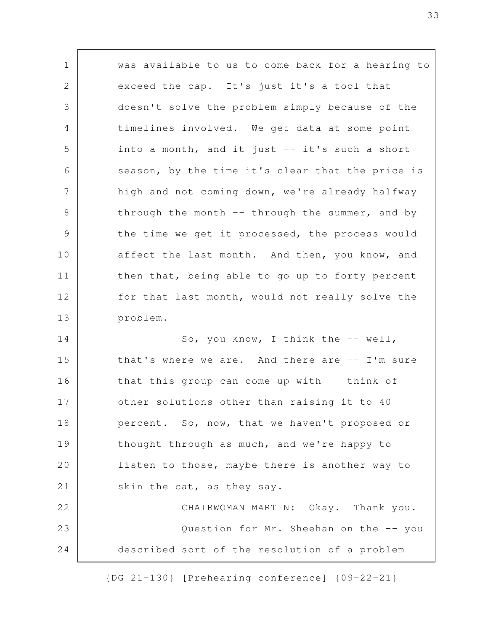was available to us to come back for a hearing to exceed the cap. It's just it's a tool that doesn't solve the problem simply because of the timelines involved. We get data at some point into a month, and it just -- it's such a short season, by the time it's clear that the price is high and not coming down, we're already halfway through the month -- through the summer, and by the time we get it processed, the process would affect the last month. And then, you know, and then that, being able to go up to forty percent for that last month, would not really solve the problem. So, you know, I think the -- well, that's where we are. And there are -- I'm sure that this group can come up with -- think of other solutions other than raising it to 40 percent. So, now, that we haven't proposed or thought through as much, and we're happy to listen to those, maybe there is another way to skin the cat, as they say. CHAIRWOMAN MARTIN: Okay. Thank you. Question for Mr. Sheehan on the -- you 1 2 3 4 5 6 7 8 9 10 11 12 13 14 15 16 17 18 19 20 21 22 23

{DG 21-130} [Prehearing conference] {09-22-21}

24

described sort of the resolution of a problem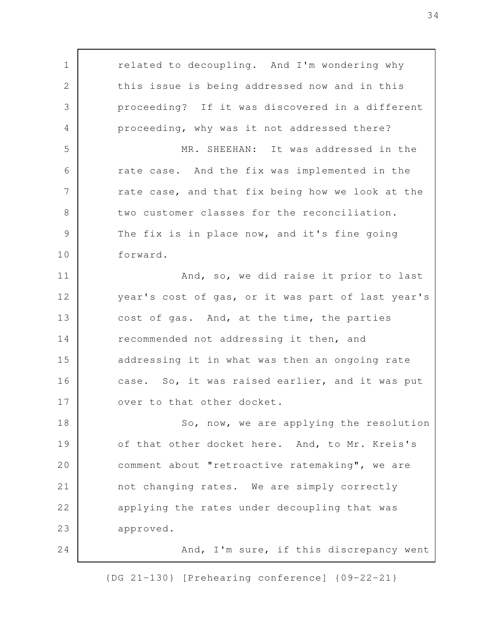related to decoupling. And I'm wondering why this issue is being addressed now and in this proceeding? If it was discovered in a different proceeding, why was it not addressed there? MR. SHEEHAN: It was addressed in the rate case. And the fix was implemented in the rate case, and that fix being how we look at the two customer classes for the reconciliation. The fix is in place now, and it's fine going forward. And, so, we did raise it prior to last year's cost of gas, or it was part of last year's cost of gas. And, at the time, the parties recommended not addressing it then, and addressing it in what was then an ongoing rate case. So, it was raised earlier, and it was put over to that other docket. So, now, we are applying the resolution of that other docket here. And, to Mr. Kreis's comment about "retroactive ratemaking", we are not changing rates. We are simply correctly applying the rates under decoupling that was approved. And, I'm sure, if this discrepancy went 1 2 3 4 5 6 7 8 9 10 11 12 13 14 15 16 17 18 19 20 21 22 23 24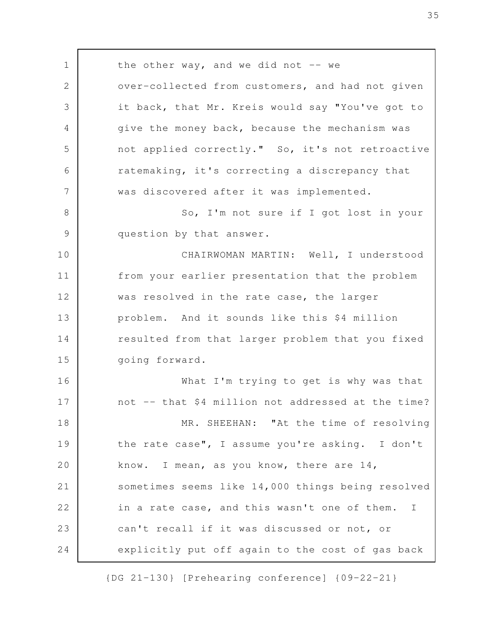the other way, and we did not  $-$  we over-collected from customers, and had not given it back, that Mr. Kreis would say "You've got to give the money back, because the mechanism was not applied correctly." So, it's not retroactive ratemaking, it's correcting a discrepancy that was discovered after it was implemented. So, I'm not sure if I got lost in your question by that answer. CHAIRWOMAN MARTIN: Well, I understood from your earlier presentation that the problem was resolved in the rate case, the larger problem. And it sounds like this \$4 million resulted from that larger problem that you fixed going forward. What I'm trying to get is why was that not -- that \$4 million not addressed at the time? MR. SHEEHAN: "At the time of resolving the rate case", I assume you're asking. I don't know. I mean, as you know, there are 14, sometimes seems like 14,000 things being resolved in a rate case, and this wasn't one of them. I can't recall if it was discussed or not, or explicitly put off again to the cost of gas back 1 2 3 4 5 6 7 8 9 10 11 12 13 14 15 16 17 18 19 20 21 22 23 24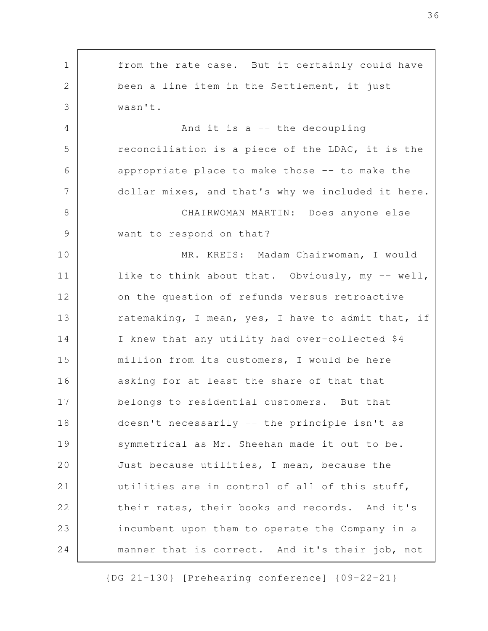from the rate case. But it certainly could have been a line item in the Settlement, it just wasn't. And it is a -- the decoupling reconciliation is a piece of the LDAC, it is the appropriate place to make those -- to make the dollar mixes, and that's why we included it here. CHAIRWOMAN MARTIN: Does anyone else want to respond on that? MR. KREIS: Madam Chairwoman, I would like to think about that. Obviously, my -- well, on the question of refunds versus retroactive ratemaking, I mean, yes, I have to admit that, if I knew that any utility had over-collected \$4 million from its customers, I would be here asking for at least the share of that that belongs to residential customers. But that doesn't necessarily -- the principle isn't as symmetrical as Mr. Sheehan made it out to be. Just because utilities, I mean, because the utilities are in control of all of this stuff, their rates, their books and records. And it's incumbent upon them to operate the Company in a manner that is correct. And it's their job, not 1 2 3 4 5 6 7 8 9 10 11 12 13 14 15 16 17 18 19 20 21 22 23 24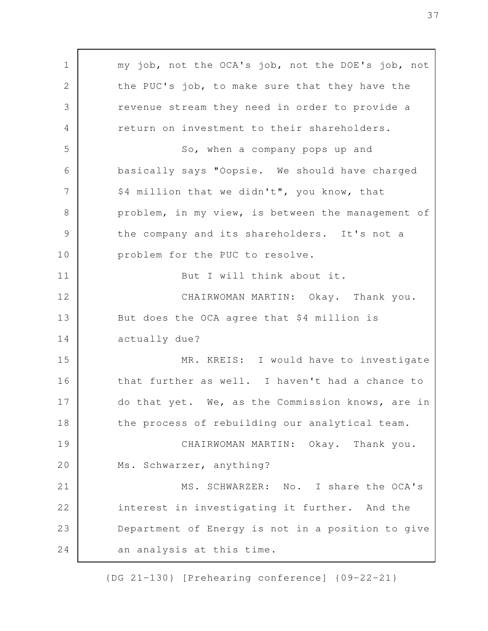my job, not the OCA's job, not the DOE's job, not the PUC's job, to make sure that they have the revenue stream they need in order to provide a return on investment to their shareholders. So, when a company pops up and basically says "Oopsie. We should have charged \$4 million that we didn't", you know, that problem, in my view, is between the management of the company and its shareholders. It's not a problem for the PUC to resolve. But I will think about it. CHAIRWOMAN MARTIN: Okay. Thank you. But does the OCA agree that \$4 million is actually due? MR. KREIS: I would have to investigate that further as well. I haven't had a chance to do that yet. We, as the Commission knows, are in the process of rebuilding our analytical team. CHAIRWOMAN MARTIN: Okay. Thank you. Ms. Schwarzer, anything? MS. SCHWARZER: No. I share the OCA's interest in investigating it further. And the Department of Energy is not in a position to give an analysis at this time. 1 2 3 4 5 6 7 8 9 10 11 12 13 14 15 16 17 18 19 20 21 22 23 24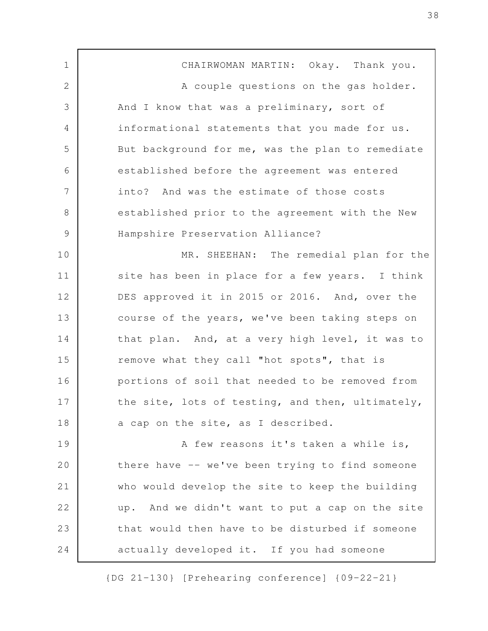CHAIRWOMAN MARTIN: Okay. Thank you. A couple questions on the gas holder. And I know that was a preliminary, sort of informational statements that you made for us. But background for me, was the plan to remediate established before the agreement was entered into? And was the estimate of those costs established prior to the agreement with the New Hampshire Preservation Alliance? MR. SHEEHAN: The remedial plan for the site has been in place for a few years. I think DES approved it in 2015 or 2016. And, over the course of the years, we've been taking steps on that plan. And, at a very high level, it was to remove what they call "hot spots", that is portions of soil that needed to be removed from the site, lots of testing, and then, ultimately, a cap on the site, as I described. A few reasons it's taken a while is, there have -- we've been trying to find someone who would develop the site to keep the building up. And we didn't want to put a cap on the site that would then have to be disturbed if someone actually developed it. If you had someone 1 2 3 4 5 6 7 8 9 10 11 12 13 14 15 16 17 18 19 20 21 22 23 24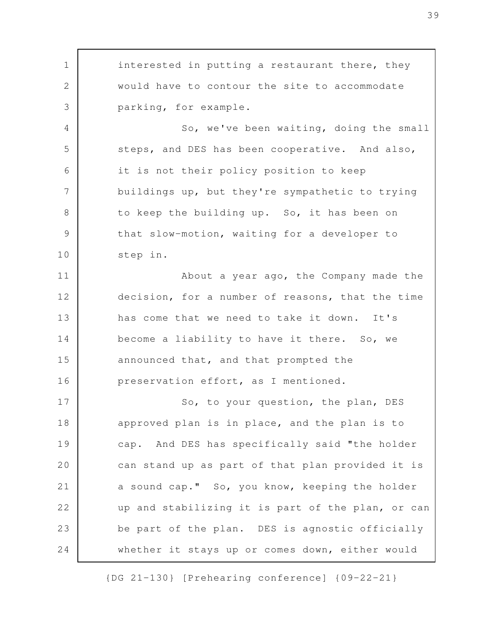interested in putting a restaurant there, they would have to contour the site to accommodate parking, for example. So, we've been waiting, doing the small steps, and DES has been cooperative. And also, it is not their policy position to keep buildings up, but they're sympathetic to trying to keep the building up. So, it has been on that slow-motion, waiting for a developer to step in. About a year ago, the Company made the decision, for a number of reasons, that the time has come that we need to take it down. It's become a liability to have it there. So, we announced that, and that prompted the preservation effort, as I mentioned. So, to your question, the plan, DES approved plan is in place, and the plan is to cap. And DES has specifically said "the holder can stand up as part of that plan provided it is a sound cap." So, you know, keeping the holder up and stabilizing it is part of the plan, or can be part of the plan. DES is agnostic officially whether it stays up or comes down, either would 1 2 3 4 5 6 7 8 9 10 11 12 13 14 15 16 17 18 19 20 21 22 23 24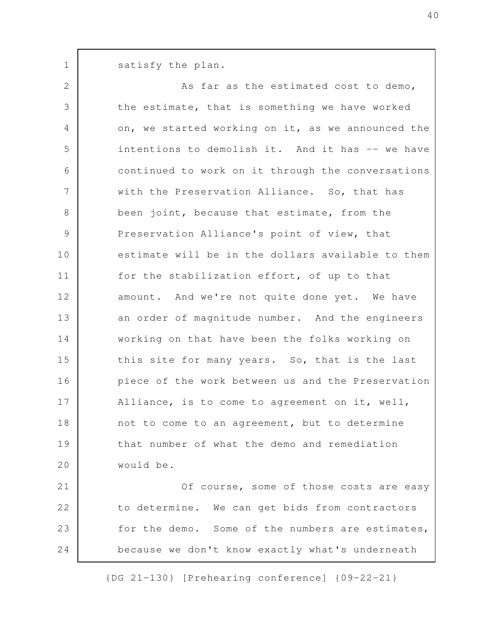satisfy the plan. 1

24

As far as the estimated cost to demo, the estimate, that is something we have worked on, we started working on it, as we announced the intentions to demolish it. And it has -- we have continued to work on it through the conversations with the Preservation Alliance. So, that has been joint, because that estimate, from the Preservation Alliance's point of view, that estimate will be in the dollars available to them for the stabilization effort, of up to that amount. And we're not quite done yet. We have an order of magnitude number. And the engineers working on that have been the folks working on this site for many years. So, that is the last piece of the work between us and the Preservation Alliance, is to come to agreement on it, well, not to come to an agreement, but to determine that number of what the demo and remediation would be. Of course, some of those costs are easy to determine. We can get bids from contractors for the demo. Some of the numbers are estimates, 2 3 4 5 6 7 8 9 10 11 12 13 14 15 16 17 18 19 20 21 22 23

{DG 21-130} [Prehearing conference] {09-22-21}

because we don't know exactly what's underneath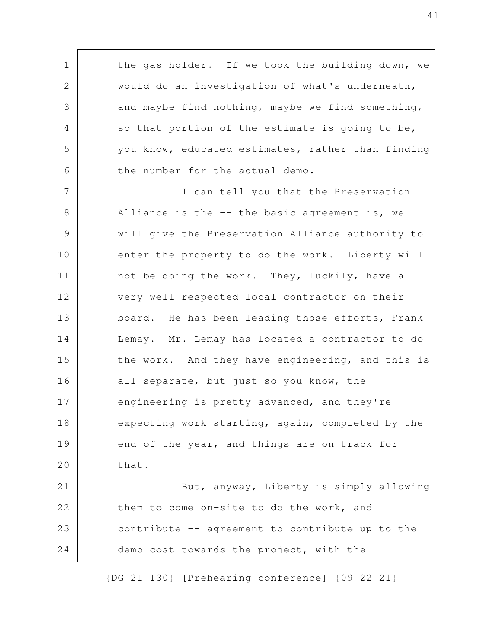the gas holder. If we took the building down, we would do an investigation of what's underneath, and maybe find nothing, maybe we find something, so that portion of the estimate is going to be, you know, educated estimates, rather than finding the number for the actual demo. I can tell you that the Preservation Alliance is the  $-$ - the basic agreement is, we will give the Preservation Alliance authority to enter the property to do the work. Liberty will not be doing the work. They, luckily, have a very well-respected local contractor on their board. He has been leading those efforts, Frank Lemay. Mr. Lemay has located a contractor to do the work. And they have engineering, and this is all separate, but just so you know, the engineering is pretty advanced, and they're expecting work starting, again, completed by the end of the year, and things are on track for that. But, anyway, Liberty is simply allowing 1 2 3 4 5 6 7 8 9 10 11 12 13 14 15 16 17 18 19 20 21

them to come on-site to do the work, and contribute -- agreement to contribute up to the demo cost towards the project, with the 22 23 24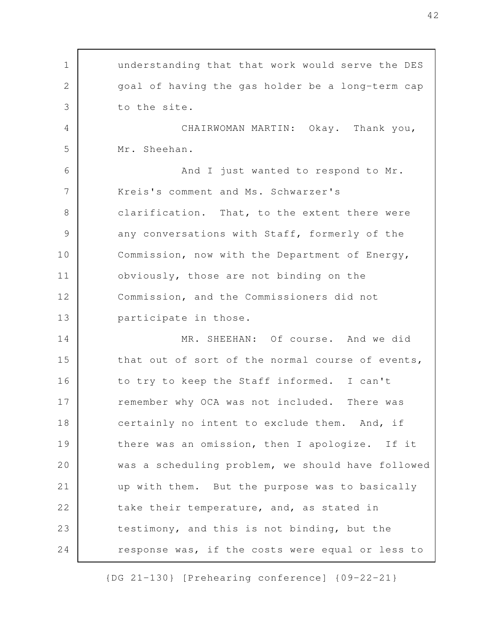understanding that that work would serve the DES goal of having the gas holder be a long-term cap to the site. CHAIRWOMAN MARTIN: Okay. Thank you, Mr. Sheehan. And I just wanted to respond to Mr. Kreis's comment and Ms. Schwarzer's clarification. That, to the extent there were any conversations with Staff, formerly of the Commission, now with the Department of Energy, obviously, those are not binding on the Commission, and the Commissioners did not participate in those. MR. SHEEHAN: Of course. And we did that out of sort of the normal course of events, to try to keep the Staff informed. I can't remember why OCA was not included. There was certainly no intent to exclude them. And, if there was an omission, then I apologize. If it was a scheduling problem, we should have followed up with them. But the purpose was to basically take their temperature, and, as stated in testimony, and this is not binding, but the response was, if the costs were equal or less to 1 2 3 4 5 6 7 8 9 10 11 12 13 14 15 16 17 18 19 20 21 22 23 24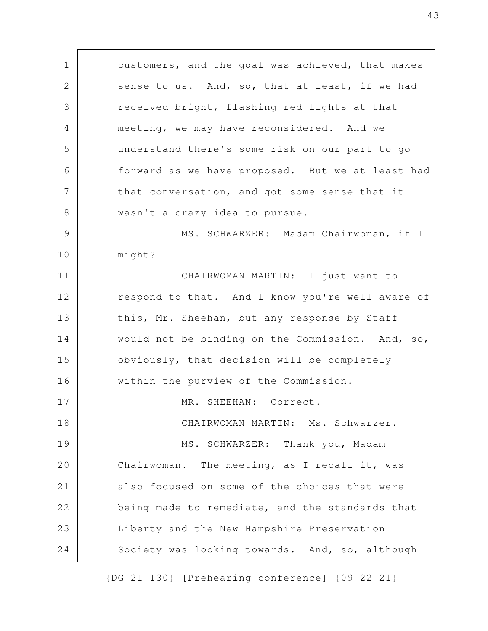customers, and the goal was achieved, that makes sense to us. And, so, that at least, if we had received bright, flashing red lights at that meeting, we may have reconsidered. And we understand there's some risk on our part to go forward as we have proposed. But we at least had that conversation, and got some sense that it wasn't a crazy idea to pursue. MS. SCHWARZER: Madam Chairwoman, if I might? CHAIRWOMAN MARTIN: I just want to respond to that. And I know you're well aware of this, Mr. Sheehan, but any response by Staff would not be binding on the Commission. And, so, obviously, that decision will be completely within the purview of the Commission. MR. SHEEHAN: Correct. CHAIRWOMAN MARTIN: Ms. Schwarzer. MS. SCHWARZER: Thank you, Madam Chairwoman. The meeting, as I recall it, was also focused on some of the choices that were being made to remediate, and the standards that Liberty and the New Hampshire Preservation Society was looking towards. And, so, although 1 2 3 4 5 6 7 8 9 10 11 12 13 14 15 16 17 18 19 20 21 22 23 24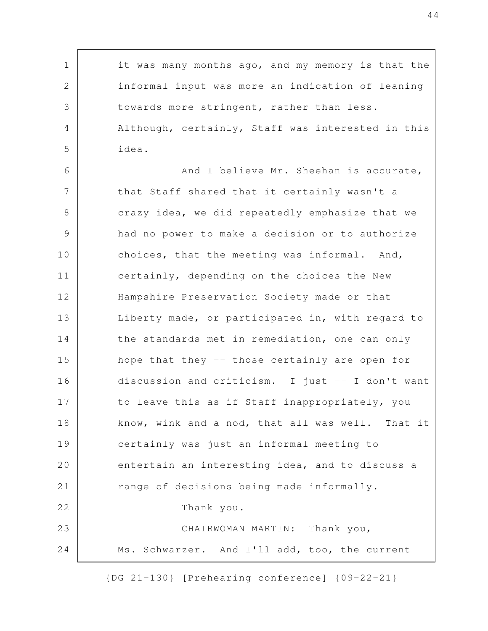it was many months ago, and my memory is that the informal input was more an indication of leaning towards more stringent, rather than less. Although, certainly, Staff was interested in this idea. 1 2 3 4 5

And I believe Mr. Sheehan is accurate, that Staff shared that it certainly wasn't a crazy idea, we did repeatedly emphasize that we had no power to make a decision or to authorize choices, that the meeting was informal. And, certainly, depending on the choices the New Hampshire Preservation Society made or that Liberty made, or participated in, with regard to the standards met in remediation, one can only hope that they -- those certainly are open for discussion and criticism. I just -- I don't want to leave this as if Staff inappropriately, you know, wink and a nod, that all was well. That it certainly was just an informal meeting to entertain an interesting idea, and to discuss a range of decisions being made informally. Thank you. CHAIRWOMAN MARTIN: Thank you, Ms. Schwarzer. And I'll add, too, the current 6 7 8 9 10 11 12 13 14 15 16 17 18 19 20 21 22 23 24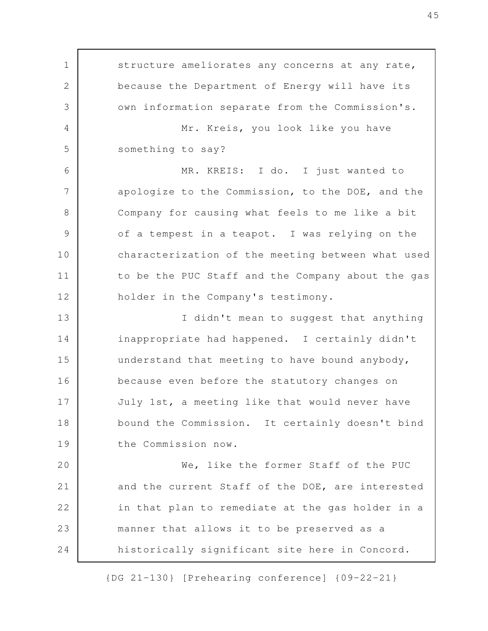structure ameliorates any concerns at any rate, because the Department of Energy will have its own information separate from the Commission's. Mr. Kreis, you look like you have something to say? MR. KREIS: I do. I just wanted to apologize to the Commission, to the DOE, and the Company for causing what feels to me like a bit of a tempest in a teapot. I was relying on the characterization of the meeting between what used to be the PUC Staff and the Company about the gas holder in the Company's testimony. I didn't mean to suggest that anything inappropriate had happened. I certainly didn't understand that meeting to have bound anybody, because even before the statutory changes on July 1st, a meeting like that would never have bound the Commission. It certainly doesn't bind the Commission now. We, like the former Staff of the PUC and the current Staff of the DOE, are interested in that plan to remediate at the gas holder in a manner that allows it to be preserved as a historically significant site here in Concord. 1 2 3 4 5 6 7 8 9 10 11 12 13 14 15 16 17 18 19 20 21 22 23 24